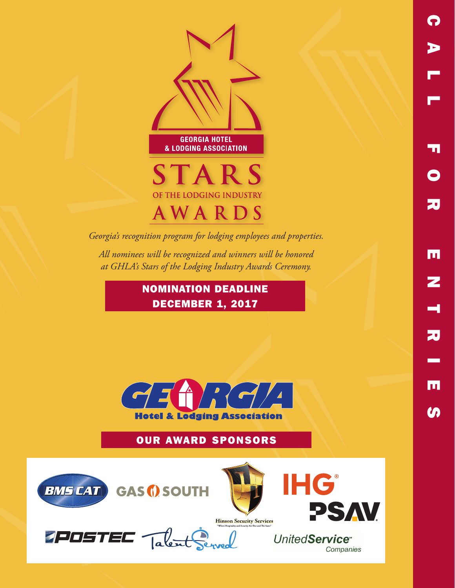

*Georgia's recognition program for lodging employees and properties.*

*All nominees will be recognized and winners will be honored at GHLA's Stars of the Lodging Industry Awards Ceremony.*

## NOMINATION DEADLINE DECEMBER 1, 2017



# OUR AWARD SPONSORS



JPOSTEC Talent







Companies

UnitedService<sup>®</sup>

CALL FOR ENTRIFS

m

Z

刀

lul

m

20

51

 $\bullet$ 

P

Þ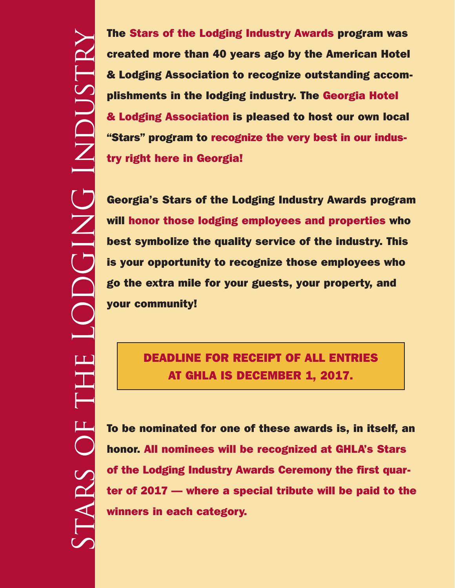Stars of the LODGING Industry LODGING INDUSTRY EHE  $\overline{C}$ STARS

The Stars of the Lodging Industry Awards program was created more than 40 years ago by the American Hotel & Lodging Association to recognize outstanding accomplishments in the lodging industry. The Georgia Hotel & Lodging Association is pleased to host our own local "Stars" program to recognize the very best in our industry right here in Georgia!

Georgia's Stars of the Lodging Industry Awards program will honor those lodging employees and properties who best symbolize the quality service of the industry. This is your opportunity to recognize those employees who go the extra mile for your guests, your property, and your community!

# DEADLINE FOR RECEIPT OF ALL ENTRIES AT GHLA IS DECEMBER 1, 2017.

To be nominated for one of these awards is, in itself, an honor. All nominees will be recognized at GHLA's Stars of the Lodging Industry Awards Ceremony the first quarter of 2017 — where a special tribute will be paid to the winners in each category.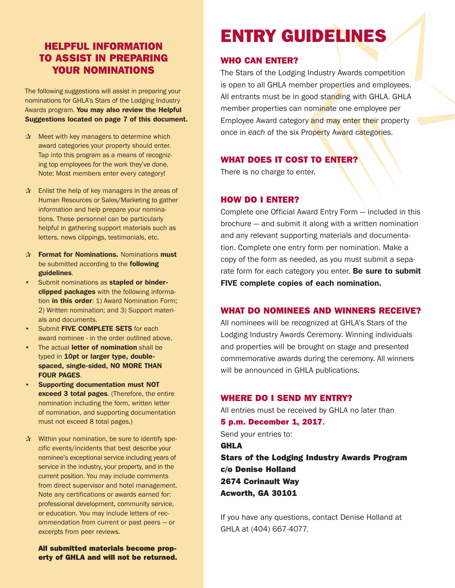## HELPFUL INFORMATION TO ASSIST IN PREPARING YOUR NOMINATIONS

The following suggestions will assist in preparing your nominations for GHLA's Stars of the Lodging Industry Awards program. You may also review the Helpful Suggestions located on page 7 of this document.

- $\mathbf{\hat{x}}$  Meet with key managers to determine which award categories your property should enter. Tap into this program as a means of recognizing top employees for the work they've done. Note: Most members enter every category!
- $\mathbf{\hat{x}}$  Enlist the help of key managers in the areas of Human Resources or Sales/Marketing to gather information and help prepare your nominations. These personnel can be particularly helpful in gathering support materials such as letters, news clippings, testimonials, etc.
- $\mathbf{\hat{x}}$  Format for Nominations. Nominations must be submitted according to the **following** guidelines.
- Submit nominations as stapled or binderclipped packages with the following information in this order: 1) Award Nomination Form; 2) Written nomination; and 3) Support materials and documents.
- Submit FIVE COMPLETE SETS for each award nominee - in the order outlined above.
- The actual letter of nomination shall be typed in 10pt or larger type, doublespaced, single-sided, NO MORE THAN FOUR PAGES.
- Supporting documentation must NOT exceed 3 total pages. (Therefore, the entire nomination including the form, written letter of nomination, and supporting documentation must not exceed 8 total pages.)
- $\mathbf{\hat{x}}$  Within your nomination, be sure to identify specific events/incidents that best describe your nominee's exceptional service including years of service in the industry, your property, and in the current position. You may include comments from direct supervisor and hotel management. Note any certifications or awards earned for: professional development, community service, or education. You may include letters of recommendation from current or past peers — or excerpts from peer reviews.

All submitted materials become property of GHLA and will not be returned.

# ENTRY GUIDELINES

## WHO CAN ENTER?

The Stars of the Lodging Industry Awards competition is open to all GHLA member properties and employees. All entrants must be in good standing with GHLA. GHLA member properties can nominate one employee per Employee Award category and may enter their property once in *each* of the six Property Award categories.

## WHAT DOES IT COST TO ENTER?

There is no charge to enter.

## HOW DO I ENTER?

Complete one Official Award Entry Form — included in this brochure — and submit it along with a written nomination and any relevant supporting materials and documentation. Complete one entry form per nomination. Make a copy of the form as needed, as you must submit a separate form for each category you enter. Be sure to submit FIVE complete copies of each nomination.

## WHAT DO NOMINEES AND WINNERS RECEIVE?

All nominees will be recognized at GHLA's Stars of the Lodging Industry Awards Ceremony. Winning individuals and properties will be brought on stage and presented commemorative awards during the ceremony. All winners will be announced in GHLA publications.

### WHERE DO I SEND MY ENTRY?

All entries must be received by GHLA no later than 5 p.m. December 1, 2017. Send your entries to: GHLA Stars of the Lodging Industry Awards Program c/o Denise Holland 2674 Corinault Way Acworth, GA 30101

If you have any questions, contact Denise Holland at GHLA at (404) 667-4077.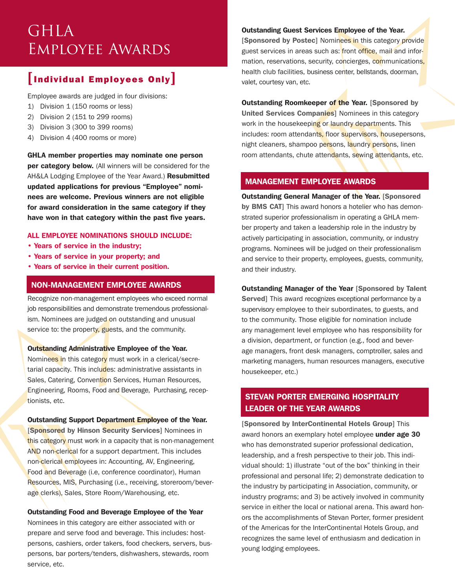# GHLA Employee Awards

## [Individual Employees Only]

Employee awards are judged in four divisions:

- 1) Division 1 (150 rooms or less)
- 2) Division 2 (151 to 299 rooms)
- 3) Division 3 (300 to 399 rooms)
- 4) Division 4 (400 rooms or more)

GHLA member properties may nominate one person per category below. (All winners will be considered for the AH&LA Lodging Employee of the Year Award.) Resubmitted updated applications for previous "Employee" nominees are welcome. Previous winners are not eligible for award consideration in the same category if they have won in that category within the past five years.

#### ALL EMPLOYEE NOMINATIONS SHOULD INCLUDE:

- Years of service in the industry;
- Years of service in your property; and
- Years of service in their current position.

#### NON-MANAGEMENT EMPLOYEE AWARDS

Recognize non-management employees who exceed normal job responsibilities and demonstrate tremendous professionalism. Nominees are judged on outstanding and unusual service to: the property, guests, and the community.

#### Outstanding Administrative Employee of the Year.

Nominees in this category must work in a clerical/secretarial capacity. This includes: administrative assistants in Sales, Catering, Convention Services, Human Resources, Engineering, Rooms, Food and Beverage, Purchasing, receptionists, etc.

#### Outstanding Support Department Employee of the Year.

[Sponsored by Hinson Security Services] Nominees in this category must work in a capacity that is non-management AND non-clerical for a support department. This includes non-clerical employees in: Accounting, AV, Engineering, Food and Beverage (i.e, conference coordinator), Human Resources, MIS, Purchasing (i.e., receiving, storeroom/beverage clerks), Sales, Store Room/Warehousing, etc.

#### Outstanding Food and Beverage Employee of the Year

Nominees in this category are either associated with or prepare and serve food and beverage. This includes: hostpersons, cashiers, order takers, food checkers, servers, buspersons, bar porters/tenders, dishwashers, stewards, room service, etc.

#### Outstanding Guest Services Employee of the Year.

[Sponsored by Postec] Nominees in this category provide guest services in areas such as: front office, mail and information, reservations, security, concierges, communications, health club facilities, business center, bellstands, doorman, valet, courtesy van, etc.

**Outstanding Roomkeeper of the Year. [Sponsored by** United Services Companies] Nominees in this category work in the housekeeping or laundry departments. This includes: room attendants, floor supervisors, housepersons, night cleaners, shampoo persons, laundry persons, linen room attendants, chute attendants, sewing attendants, etc.

#### MANAGEMENT EMPLOYEE AWARDS

Outstanding General Manager of the Year. [Sponsored by BMS CAT] This award honors a hotelier who has demonstrated superior professionalism in operating a GHLA member property and taken a leadership role in the industry by actively participating in association, community, or industry programs. Nominees will be judged on their professionalism and service to their property, employees, guests, community, and their industry.

Outstanding Manager of the Year [Sponsored by Talent Served] This award recognizes exceptional performance by a supervisory employee to their subordinates, to guests, and to the community. Those eligible for nomination include any management level employee who has responsibility for a division, department, or function (e.g., food and beverage managers, front desk managers, comptroller, sales and marketing managers, human resources managers, executive housekeeper, etc.)

### STEVAN PORTER EMERGING HOSPITALITY LEADER OF THE YEAR AWARDS

[Sponsored by InterContinental Hotels Group] This award honors an exemplary hotel employee under age 30 who has demonstrated superior professional dedication, leadership, and a fresh perspective to their job. This individual should: 1) illustrate "out of the box" thinking in their professional and personal life; 2) demonstrate dedication to the industry by participating in Association, community, or industry programs; and 3) be actively involved in community service in either the local or national arena. This award honors the accomplishments of Stevan Porter, former president of the Americas for the InterContinental Hotels Group, and recognizes the same level of enthusiasm and dedication in young lodging employees.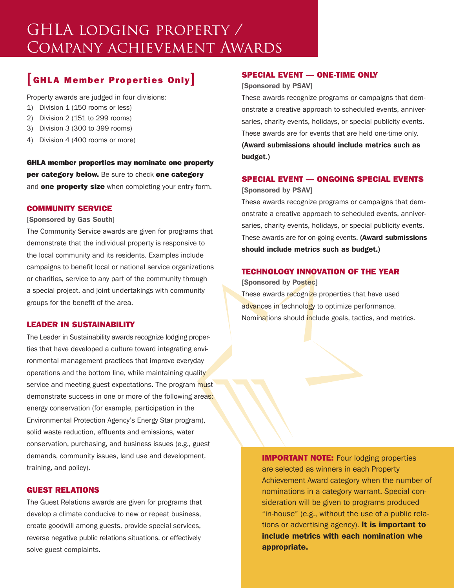# GHLA lodging property / Company achievement Awards

## [GHLA Member Properties Only]

Property awards are judged in four divisions:

- 1) Division 1 (150 rooms or less)
- 2) Division 2 (151 to 299 rooms)
- 3) Division 3 (300 to 399 rooms)
- 4) Division 4 (400 rooms or more)

GHLA member properties may nominate one property per category below. Be sure to check one category and **one property size** when completing your entry form.

#### COMMUNITY SERVICE

#### [Sponsored by Gas South]

The Community Service awards are given for programs that demonstrate that the individual property is responsive to the local community and its residents. Examples include campaigns to benefit local or national service organizations or charities, service to any part of the community through a special project, and joint undertakings with community groups for the benefit of the area.

#### LEADER IN SUSTAINABILITY

The Leader in Sustainability awards recognize lodging properties that have developed a culture toward integrating environmental management practices that improve everyday operations and the bottom line, while maintaining quality service and meeting guest expectations. The program must demonstrate success in one or more of the following areas: energy conservation (for example, participation in the Environmental Protection Agency's Energy Star program), solid waste reduction, effluents and emissions, water conservation, purchasing, and business issues (e.g., guest demands, community issues, land use and development, training, and policy).

#### GUEST RELATIONS

The Guest Relations awards are given for programs that develop a climate conducive to new or repeat business, create goodwill among guests, provide special services, reverse negative public relations situations, or effectively solve guest complaints.

#### SPECIAL EVENT — ONE-TIME ONLY

[Sponsored by PSAV]

These awards recognize programs or campaigns that demonstrate a creative approach to scheduled events, anniversaries, charity events, holidays, or special publicity events. These awards are for events that are held one-time only. (Award submissions should include metrics such as budget.)

#### SPECIAL EVENT — ONGOING SPECIAL EVENTS

[Sponsored by PSAV]

These awards recognize programs or campaigns that demonstrate a creative approach to scheduled events, anniversaries, charity events, holidays, or special publicity events. These awards are for on-going events. (Award submissions should include metrics such as budget.)

#### TECHNOLOGY INNOVATION OF THE YEAR

[Sponsored by Postec]

These awards recognize properties that have used advances in technology to optimize performance. Nominations should include goals, tactics, and metrics.

> **IMPORTANT NOTE:** Four lodging properties are selected as winners in each Property Achievement Award category when the number of nominations in a category warrant. Special consideration will be given to programs produced "in-house" (e.g., without the use of a public relations or advertising agency). It is important to include metrics with each nomination whe appropriate.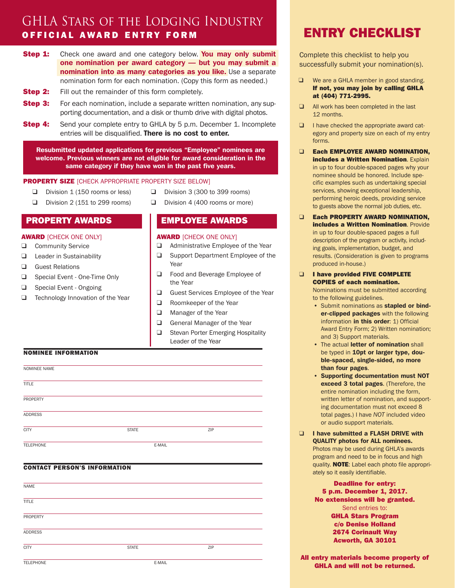# GHLA Stars of the Lodging Industry OFFICIAL AWARD ENTRY FORM

- **Step 1:** Check one award and one category below. You may only submit one nomination per award category — but you may submit a nomination into as many categories as you like. Use a separate nomination form for each nomination. (Copy this form as needed.)
- **Step 2:** Fill out the remainder of this form completely.
- **Step 3:** For each nomination, include a separate written nomination, any supporting documentation, and a disk or thumb drive with digital photos.
- **Step 4:** Send your complete entry to GHLA by 5 p.m. December 1. Incomplete entries will be disqualified. There is no cost to enter.

Resubmitted updated applications for previous "Employee" nominees are welcome. Previous winners are not eligible for award consideration in the same category if they have won in the past five years.

#### **PROPERTY SIZE** [CHECK APPROPRIATE PROPERTY SIZE BELOW]

- ❑ Division 1 (150 rooms or less)
- ❑ Division 2 (151 to 299 rooms)
- ❑ Division 3 (300 to 399 rooms) ❑ Division 4 (400 rooms or more)
- PROPERTY AWARDS

#### **AWARD** [CHECK ONE ONLY]

- ❑ Community Service
- ❑ Leader in Sustainability
- ❑ Guest Relations
- ❑ Special Event One-Time Only
- ❑ Special Event Ongoing
- ❑ Technology Innovation of the Year

#### EMPLOYEE AWARDS

#### **AWARD [CHECK ONE ONLY]**

- ❑ Administrative Employee of the Year
- ❑ Support Department Employee of the Year
- ❑ Food and Beverage Employee of the Year
- ❑ Guest Services Employee of the Year
- ❑ Roomkeeper of the Year
- ❑ Manager of the Year
- ❑ General Manager of the Year
- ❑ Stevan Porter Emerging Hospitality Leader of the Year

#### NOMINEE INFORMATION

| NOMINEE NAME     |              |        |     |
|------------------|--------------|--------|-----|
| <b>TITLE</b>     |              |        |     |
| PROPERTY         |              |        |     |
| <b>ADDRESS</b>   |              |        |     |
| <b>CITY</b>      | <b>STATE</b> |        | ZIP |
| <b>TELEPHONE</b> |              | E-MAIL |     |

#### CONTACT PERSON'S INFORMATION

| NAME             |              |     |  |
|------------------|--------------|-----|--|
| <b>TITLE</b>     |              |     |  |
| PROPERTY         |              |     |  |
| <b>ADDRESS</b>   |              |     |  |
| <b>CITY</b>      | <b>STATE</b> | ZIP |  |
| <b>TELEPHONE</b> | E-MAIL       |     |  |

# ENTRY CHECKLIST

Complete this checklist to help you successfully submit your nomination(s).

- ❑ We are a GHLA member in good standing. If not, you may join by calling GHLA at (404) 771-2995.
- ❑ All work has been completed in the last 12 months.
- ❑ I have checked the appropriate award category and property size on each of my entry forms.
- □ Each EMPLOYEE AWARD NOMINATION. **includes a Written Nomination.** Explain in up to four double-spaced pages why your nominee should be honored. Include specific examples such as undertaking special services, showing exceptional leadership, performing heroic deeds, providing service to guests above the normal job duties, etc.
- ❑ Each PROPERTY AWARD NOMINATION, **includes a Written Nomination. Provide** in up to four double-spaced pages a full description of the program or activity, including goals, implementation, budget, and results. (Consideration is given to programs produced in-house.)
- ❑ I have provided FIVE COMPLETE COPIES of each nomination.

Nominations must be submitted according to the following guidelines.

- Submit nominations as stapled or binder-clipped packages with the following information in this order: 1) Official Award Entry Form; 2) Written nomination; and 3) Support materials.
- The actual letter of nomination shall be typed in 10pt or larger type, double-spaced, single-sided, no more than four pages.
- Supporting documentation must NOT exceed 3 total pages. (Therefore, the entire nomination including the form, written letter of nomination, and supporting documentation must not exceed 8 total pages.) I have *NOT* included video or audio support materials.
- ❑ I have submitted a FLASH DRIVE with QUALITY photos for ALL nominees. Photos may be used during GHLA's awards program and need to be in focus and high quality. NOTE: Label each photo file appropriately so it easily identifiable.

Deadline for entry: 5 p.m. December 1, 2017. No extensions will be granted. Send entries to: GHLA Stars Program c/o Denise Holland 2674 Corinault Way Acworth, GA 30101

All entry materials become property of GHLA and will not be returned.